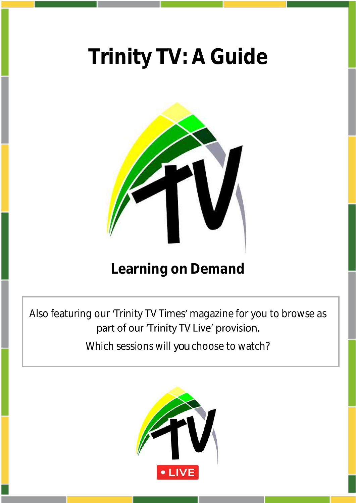# **Trinity TV: A Guide**



## **Learning on Demand**

Also featuring our 'Trinity TV Times' magazine for you to browse as part of our 'Trinity TV Live' provision.

Which sessions will *you* choose to watch?

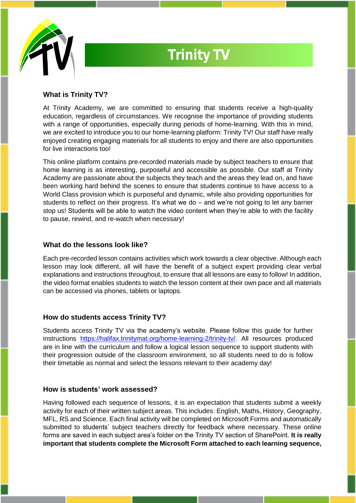

# **Trinity TV**

### **What is Trinity TV?**

At Trinity Academy, we are committed to ensuring that students receive a high-quality education, regardless of circumstances. We recognise the importance of providing students with a range of opportunities, especially during periods of home-learning. With this in mind, we are excited to introduce you to our home-learning platform: Trinity TV! Our staff have really enjoyed creating engaging materials for all students to enjoy and there are also opportunities for live interactions too!

This online platform contains pre-recorded materials made by subject teachers to ensure that home learning is as interesting, purposeful and accessible as possible. Our staff at Trinity Academy are passionate about the subjects they teach and the areas they lead on, and have been working hard behind the scenes to ensure that students continue to have access to a World Class provision which is purposeful and dynamic, while also providing opportunities for students to reflect on their progress. It's what we do  $-$  and we're not going to let any barrier stop us! Students will be able to watch the video content when they're able to with the facility to pause, rewind, and re-watch when necessary!

### **What do the lessons look like?**

Each pre-recorded lesson contains activities which work towards a clear objective. Although each lesson may look different, all will have the benefit of a subject expert providing clear verbal explanations and instructions throughout, to ensure that all lessons are easy to follow! In addition, the video format enables students to watch the lesson content at their own pace and all materials can be accessed via phones, tablets or laptops.

### **How do students access Trinity TV?**

Students access Trinity TV via the academy's website. Please follow this guide for further instructions [https://halifax.trinitymat.org/home-learning-2/trinity-tv/.](https://halifax.trinitymat.org/home-learning-2/trinity-tv/) All resources produced are in line with the curriculum and follow a logical lesson sequence to support students with their progression outside of the classroom environment, so all students need to do is follow their timetable as normal and select the lessons relevant to their academy day!

#### **How is students' work assessed?**

Having followed each sequence of lessons, it is an expectation that students submit a weekly activity for each of their written subject areas. This includes: English, Maths, History, Geography, MFL, RS and Science. Each final activity will be completed on Microsoft Forms and automatically submitted to students' subject teachers directly for feedback where necessary. These online forms are saved in each subject area's folder on the Trinity TV section of SharePoint. **It is really important that students complete the Microsoft Form attached to each learning sequence,**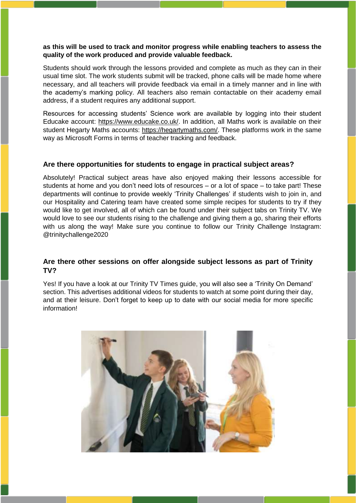#### **as this will be used to track and monitor progress while enabling teachers to assess the quality of the work produced and provide valuable feedback.**

Students should work through the lessons provided and complete as much as they can in their usual time slot. The work students submit will be tracked, phone calls will be made home where necessary, and all teachers will provide feedback via email in a timely manner and in line with the academy's marking policy. All teachers also remain contactable on their academy email address, if a student requires any additional support.

Resources for accessing students' Science work are available by logging into their student Educake account: [https://www.educake.co.uk/.](https://www.educake.co.uk/) In addition, all Maths work is available on their student Hegarty Maths accounts: [https://hegartymaths.com/.](https://hegartymaths.com/) These platforms work in the same way as Microsoft Forms in terms of teacher tracking and feedback.

#### **Are there opportunities for students to engage in practical subject areas?**

Absolutely! Practical subject areas have also enjoyed making their lessons accessible for students at home and you don't need lots of resources – or a lot of space – to take part! These departments will continue to provide weekly 'Trinity Challenges' if students wish to join in, and our Hospitality and Catering team have created some simple recipes for students to try if they would like to get involved, all of which can be found under their subject tabs on Trinity TV. We would love to see our students rising to the challenge and giving them a go, sharing their efforts with us along the way! Make sure you continue to follow our Trinity Challenge Instagram: @trinitychallenge2020

### **Are there other sessions on offer alongside subject lessons as part of Trinity TV?**

Yes! If you have a look at our Trinity TV Times guide, you will also see a 'Trinity On Demand' section. This advertises additional videos for students to watch at some point during their day, and at their leisure. Don't forget to keep up to date with our social media for more specific information!

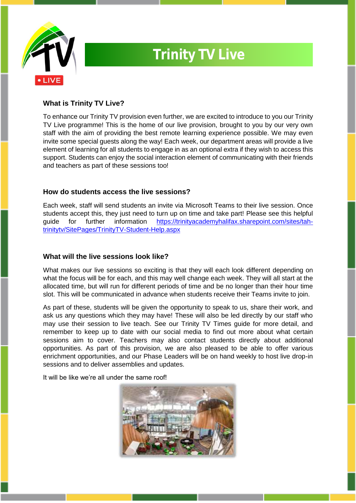

# **Trinity TV Live**

### **What is Trinity TV Live?**

To enhance our Trinity TV provision even further, we are excited to introduce to you our Trinity TV Live programme! This is the home of our live provision, brought to you by our very own staff with the aim of providing the best remote learning experience possible. We may even invite some special guests along the way! Each week, our department areas will provide a live element of learning for all students to engage in as an optional extra if they wish to access this support. Students can enjoy the social interaction element of communicating with their friends and teachers as part of these sessions too!

### **How do students access the live sessions?**

Each week, staff will send students an invite via Microsoft Teams to their live session. Once students accept this, they just need to turn up on time and take part! Please see this helpful guide for further information [https://trinityacademyhalifax.sharepoint.com/sites/tah](https://trinityacademyhalifax.sharepoint.com/sites/tah-trinitytv/SitePages/TrinityTV-Student-Help.aspx)[trinitytv/SitePages/TrinityTV-Student-Help.aspx](https://trinityacademyhalifax.sharepoint.com/sites/tah-trinitytv/SitePages/TrinityTV-Student-Help.aspx)

### **What will the live sessions look like?**

What makes our live sessions so exciting is that they will each look different depending on what the focus will be for each, and this may well change each week. They will all start at the allocated time, but will run for different periods of time and be no longer than their hour time slot. This will be communicated in advance when students receive their Teams invite to join.

As part of these, students will be given the opportunity to speak to us, share their work, and ask us any questions which they may have! These will also be led directly by our staff who may use their session to live teach. See our Trinity TV Times guide for more detail, and remember to keep up to date with our social media to find out more about what certain sessions aim to cover. Teachers may also contact students directly about additional opportunities. As part of this provision, we are also pleased to be able to offer various enrichment opportunities, and our Phase Leaders will be on hand weekly to host live drop-in sessions and to deliver assemblies and updates.

It will be like we're all under the same roof!

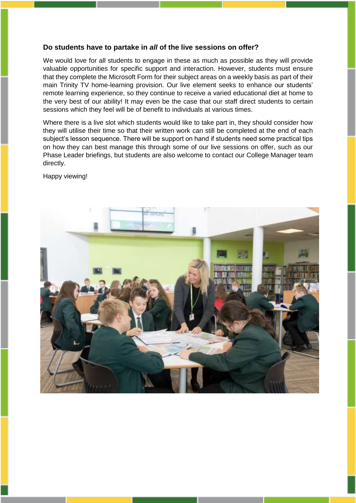#### **Do students have to partake in** *all* **of the live sessions on offer?**

We would love for all students to engage in these as much as possible as they will provide valuable opportunities for specific support and interaction. However, students must ensure that they complete the Microsoft Form for their subject areas on a weekly basis as part of their main Trinity TV home-learning provision. Our live element seeks to enhance our students' remote learning experience, so they continue to receive a varied educational diet at home to the very best of our ability! It may even be the case that our staff direct students to certain sessions which they feel will be of benefit to individuals at various times.

Where there is a live slot which students would like to take part in, they should consider how they will utilise their time so that their written work can still be completed at the end of each subject's lesson sequence. There will be support on hand if students need some practical tips on how they can best manage this through some of our live sessions on offer, such as our Phase Leader briefings, but students are also welcome to contact our College Manager team directly.

Happy viewing!

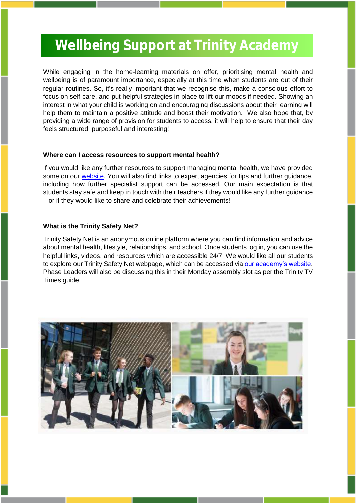## **Wellbeing Support at Trinity Academy Wellbeing Support at Trinity Academy**

While engaging in the home-learning materials on offer, prioritising mental health and wellbeing is of paramount importance, especially at this time when students are out of their regular routines. So, it's really important that we recognise this, make a conscious effort to focus on self-care, and put helpful strategies in place to lift our moods if needed. Showing an interest in what your child is working on and encouraging discussions about their learning will help them to maintain a positive attitude and boost their motivation. We also hope that, by providing a wide range of provision for students to access, it will help to ensure that their day feels structured, purposeful and interesting!

#### **Where can I access resources to support mental health?**

If you would like any further resources to support managing mental health, we have provided some on our [website.](https://halifax.trinitymat.org/) You will also find links to expert agencies for tips and further guidance, including how further specialist support can be accessed. Our main expectation is that students stay safe and keep in touch with their teachers if they would like any further guidance – or if they would like to share and celebrate their achievements!

#### **What is the Trinity Safety Net?**

Trinity Safety Net is an anonymous online platform where you can find information and advice about mental health, lifestyle, relationships, and school. Once students log in, you can use the helpful links, videos, and resources which are accessible 24/7. We would like all our students to explore our Trinity Safety Net webpage, which can be accessed via [our academy's website.](https://halifax.trinitymat.org/) Phase Leaders will also be discussing this in their Monday assembly slot as per the Trinity TV Times guide.

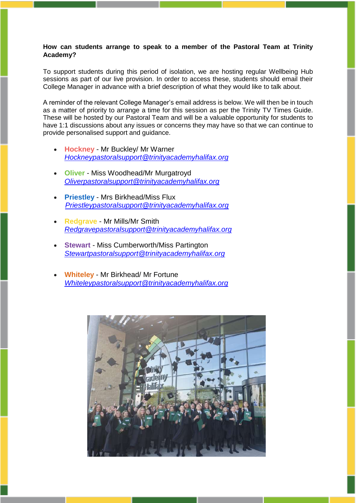#### **How can students arrange to speak to a member of the Pastoral Team at Trinity Academy?**

To support students during this period of isolation, we are hosting regular Wellbeing Hub sessions as part of our live provision. In order to access these, students should email their College Manager in advance with a brief description of what they would like to talk about.

A reminder of the relevant College Manager's email address is below. We will then be in touch as a matter of priority to arrange a time for this session as per the Trinity TV Times Guide. These will be hosted by our Pastoral Team and will be a valuable opportunity for students to have 1:1 discussions about any issues or concerns they may have so that we can continue to provide personalised support and guidance.

- **Hockney** Mr Buckley/ Mr Warner *[Hockneypastoralsupport@trinityacademyhalifax.org](mailto:Hockneypastoralsupport@trinityacademyhalifax.org)*
- **Oliver** Miss Woodhead/Mr Murgatroyd *[Oliverpastoralsupport@trinityacademyhalifax.org](mailto:Oliverpastoralsupport@trinityacademyhalifax.org)*
- **Priestley** Mrs Birkhead/Miss Flux *[Priestleypastoralsupport@trinityacademyhalifax.org](mailto:Priestleypastoralsupport@trinityacademyhalifax.org)*
- **Redgrave** Mr Mills/Mr Smith *[Redgravepastoralsupport@trinityacademyhalifax.org](mailto:Redgravepastoralsupport@trinityacademyhalifax.org)*
- **Stewart** Miss Cumberworth/Miss Partington *[Stewartpastoralsupport@trinityacademyhalifax.org](mailto:Stewartpastoralsupport@trinityacademyhalifax.org)*
- **Whiteley** Mr Birkhead/ Mr Fortune *[Whiteleypastoralsupport@trinityacademyhalifax.org](mailto:Whiteleypastoralsupport@trinityacademyhalifax.org)*

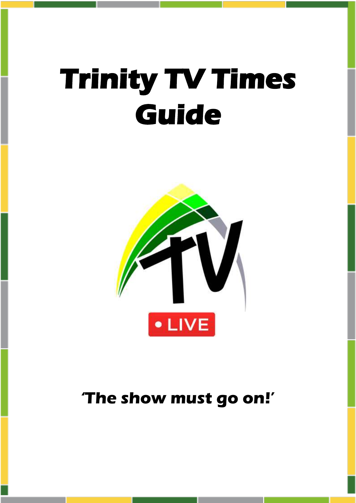# **Trinity TV Times Guide**



## **'The show must go on!'**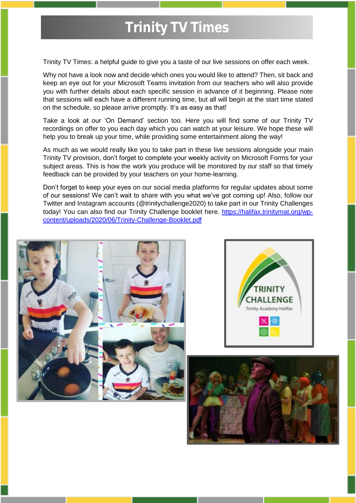## **Trinity TV Times**

Trinity TV Times: a helpful guide to give you a taste of our live sessions on offer each week.

Why not have a look now and decide which ones you would like to attend? Then, sit back and keep an eye out for your Microsoft Teams invitation from our teachers who will also provide you with further details about each specific session in advance of it beginning. Please note that sessions will each have a different running time, but all will begin at the start time stated on the schedule, so please arrive promptly. It's as easy as that!

Take a look at our 'On Demand' section too. Here you will find some of our Trinity TV recordings on offer to you each day which you can watch at your leisure. We hope these will help you to break up your time, while providing some entertainment along the way!

As much as we would really like you to take part in these live sessions alongside your main Trinity TV provision, don't forget to complete your weekly activity on Microsoft Forms for your subject areas. This is how the work you produce will be monitored by our staff so that timely feedback can be provided by your teachers on your home-learning.

Don't forget to keep your eyes on our social media platforms for regular updates about some of our sessions! We can't wait to share with you what we've got coming up! Also, follow our Twitter and Instagram accounts (@trinitychallenge2020) to take part in our Trinity Challenges today! You can also find our Trinity Challenge booklet here. [https://halifax.trinitymat.org/wp](https://halifax.trinitymat.org/wp-content/uploads/2020/06/Trinity-Challenge-Booklet.pdf)[content/uploads/2020/06/Trinity-Challenge-Booklet.pdf](https://halifax.trinitymat.org/wp-content/uploads/2020/06/Trinity-Challenge-Booklet.pdf)





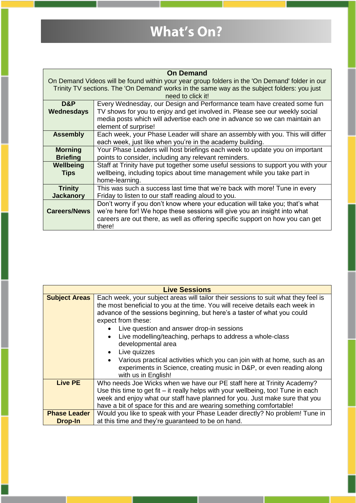# **What's On?**

| <b>On Demand</b>                                                                                                                                                                              |                                                                                  |  |  |  |  |  |  |
|-----------------------------------------------------------------------------------------------------------------------------------------------------------------------------------------------|----------------------------------------------------------------------------------|--|--|--|--|--|--|
| On Demand Videos will be found within your year group folders in the 'On Demand' folder in our<br>Trinity TV sections. The 'On Demand' works in the same way as the subject folders: you just |                                                                                  |  |  |  |  |  |  |
| need to click it!                                                                                                                                                                             |                                                                                  |  |  |  |  |  |  |
| D&P                                                                                                                                                                                           | Every Wednesday, our Design and Performance team have created some fun           |  |  |  |  |  |  |
| Wednesdays                                                                                                                                                                                    | TV shows for you to enjoy and get involved in. Please see our weekly social      |  |  |  |  |  |  |
|                                                                                                                                                                                               | media posts which will advertise each one in advance so we can maintain an       |  |  |  |  |  |  |
|                                                                                                                                                                                               | element of surprise!                                                             |  |  |  |  |  |  |
| <b>Assembly</b>                                                                                                                                                                               | Each week, your Phase Leader will share an assembly with you. This will differ   |  |  |  |  |  |  |
|                                                                                                                                                                                               | each week, just like when you're in the academy building.                        |  |  |  |  |  |  |
| <b>Morning</b>                                                                                                                                                                                | Your Phase Leaders will host briefings each week to update you on important      |  |  |  |  |  |  |
| <b>Briefing</b>                                                                                                                                                                               | points to consider, including any relevant reminders.                            |  |  |  |  |  |  |
| Wellbeing                                                                                                                                                                                     | Staff at Trinity have put together some useful sessions to support you with your |  |  |  |  |  |  |
| <b>Tips</b>                                                                                                                                                                                   | wellbeing, including topics about time management while you take part in         |  |  |  |  |  |  |
|                                                                                                                                                                                               | home-learning.                                                                   |  |  |  |  |  |  |
| <b>Trinity</b>                                                                                                                                                                                | This was such a success last time that we're back with more! Tune in every       |  |  |  |  |  |  |
| <b>Jackanory</b>                                                                                                                                                                              | Friday to listen to our staff reading aloud to you.                              |  |  |  |  |  |  |
|                                                                                                                                                                                               | Don't worry if you don't know where your education will take you; that's what    |  |  |  |  |  |  |
| <b>Careers/News</b>                                                                                                                                                                           | we're here for! We hope these sessions will give you an insight into what        |  |  |  |  |  |  |
|                                                                                                                                                                                               | careers are out there, as well as offering specific support on how you can get   |  |  |  |  |  |  |
|                                                                                                                                                                                               | there!                                                                           |  |  |  |  |  |  |

| <b>Live Sessions</b> |                                                                                                                                                                                                                                                                                                                                                                                                                                                                                                                                                                                                               |  |  |  |  |  |  |
|----------------------|---------------------------------------------------------------------------------------------------------------------------------------------------------------------------------------------------------------------------------------------------------------------------------------------------------------------------------------------------------------------------------------------------------------------------------------------------------------------------------------------------------------------------------------------------------------------------------------------------------------|--|--|--|--|--|--|
| <b>Subject Areas</b> | Each week, your subject areas will tailor their sessions to suit what they feel is<br>the most beneficial to you at the time. You will receive details each week in<br>advance of the sessions beginning, but here's a taster of what you could<br>expect from these:<br>Live question and answer drop-in sessions<br>Live modelling/teaching, perhaps to address a whole-class<br>developmental area<br>Live quizzes<br>Various practical activities which you can join with at home, such as an<br>$\bullet$<br>experiments in Science, creating music in D&P, or even reading along<br>with us in English! |  |  |  |  |  |  |
| <b>Live PE</b>       | Who needs Joe Wicks when we have our PE staff here at Trinity Academy?                                                                                                                                                                                                                                                                                                                                                                                                                                                                                                                                        |  |  |  |  |  |  |
|                      | Use this time to get fit – it really helps with your wellbeing, too! Tune in each<br>week and enjoy what our staff have planned for you. Just make sure that you                                                                                                                                                                                                                                                                                                                                                                                                                                              |  |  |  |  |  |  |
|                      | have a bit of space for this and are wearing something comfortable!                                                                                                                                                                                                                                                                                                                                                                                                                                                                                                                                           |  |  |  |  |  |  |
| <b>Phase Leader</b>  | Would you like to speak with your Phase Leader directly? No problem! Tune in                                                                                                                                                                                                                                                                                                                                                                                                                                                                                                                                  |  |  |  |  |  |  |
| <b>Drop-In</b>       | at this time and they're guaranteed to be on hand.                                                                                                                                                                                                                                                                                                                                                                                                                                                                                                                                                            |  |  |  |  |  |  |

ı

П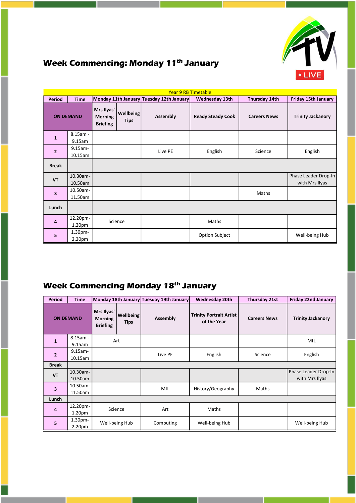

### **Week Commencing: Monday 11th January**

| <b>Year 9 RB Timetable</b> |                    |                                                                                                |         |                                          |                       |                          |                      |  |  |  |
|----------------------------|--------------------|------------------------------------------------------------------------------------------------|---------|------------------------------------------|-----------------------|--------------------------|----------------------|--|--|--|
| <b>Period</b>              | <b>Time</b>        |                                                                                                |         | Monday 11th January Tuesday 12th January | <b>Wednesday 13th</b> | Thursday 14th            | Friday 15th January  |  |  |  |
| <b>ON DEMAND</b>           |                    | Mrs Ilyas'<br><b>Wellbeing</b><br>Assembly<br><b>Morning</b><br><b>Tips</b><br><b>Briefing</b> |         | <b>Ready Steady Cook</b>                 | <b>Careers News</b>   | <b>Trinity Jackanory</b> |                      |  |  |  |
| $\mathbf{1}$               | $8.15am -$         |                                                                                                |         |                                          |                       |                          |                      |  |  |  |
|                            | 9.15am             |                                                                                                |         |                                          |                       |                          |                      |  |  |  |
| $\overline{2}$             | $9.15$ am-         |                                                                                                |         | Live PE                                  | English               | Science                  | English              |  |  |  |
|                            | 10.15am            |                                                                                                |         |                                          |                       |                          |                      |  |  |  |
| <b>Break</b>               |                    |                                                                                                |         |                                          |                       |                          |                      |  |  |  |
| <b>VT</b>                  | 10.30am-           |                                                                                                |         |                                          |                       |                          | Phase Leader Drop-In |  |  |  |
|                            | 10.50am            |                                                                                                |         |                                          |                       |                          | with Mrs Ilyas       |  |  |  |
| 3                          | 10.50am-           |                                                                                                |         |                                          |                       | Maths                    |                      |  |  |  |
|                            | 11.50am            |                                                                                                |         |                                          |                       |                          |                      |  |  |  |
| Lunch                      |                    |                                                                                                |         |                                          |                       |                          |                      |  |  |  |
| 4                          | 12.20pm-           |                                                                                                | Science |                                          | Maths                 |                          |                      |  |  |  |
|                            | 1.20 <sub>pm</sub> |                                                                                                |         |                                          |                       |                          |                      |  |  |  |
| 5                          | 1.30 <sub>pm</sub> |                                                                                                |         |                                          | <b>Option Subject</b> |                          | Well-being Hub       |  |  |  |
|                            | 2.20 <sub>pm</sub> |                                                                                                |         |                                          |                       |                          |                      |  |  |  |

### **Week Commencing Monday 18th January**

| <b>Period</b>           | <b>Time</b>                              |                                                                                    |                | Monday 18th January Tuesday 19th January | <b>Wednesday 20th</b>                         | Thursday 21st       | <b>Friday 22nd January</b>             |         |         |
|-------------------------|------------------------------------------|------------------------------------------------------------------------------------|----------------|------------------------------------------|-----------------------------------------------|---------------------|----------------------------------------|---------|---------|
| <b>ON DEMAND</b>        |                                          | Mrs Ilyas'<br><b>Wellbeing</b><br><b>Morning</b><br><b>Tips</b><br><b>Briefing</b> |                | <b>Assembly</b>                          | <b>Trinity Portrait Artist</b><br>of the Year | <b>Careers News</b> | <b>Trinity Jackanory</b>               |         |         |
| $\mathbf{1}$            | $8.15$ am -<br>9.15am                    | Art                                                                                |                |                                          |                                               |                     | MfL                                    |         |         |
| $\overline{2}$          | $9.15$ am-<br>10.15am                    |                                                                                    |                |                                          |                                               | Live PE             | English                                | Science | English |
| <b>Break</b>            |                                          |                                                                                    |                |                                          |                                               |                     |                                        |         |         |
| <b>VT</b>               | 10.30am-<br>10.50am                      |                                                                                    |                |                                          |                                               |                     | Phase Leader Drop-In<br>with Mrs Ilyas |         |         |
| $\overline{\mathbf{3}}$ | 10.50am-<br>11.50am                      |                                                                                    |                | MfL                                      | History/Geography                             | Maths               |                                        |         |         |
| Lunch                   |                                          |                                                                                    |                |                                          |                                               |                     |                                        |         |         |
| $\overline{a}$          | 12.20pm-<br>1.20 <sub>pm</sub>           | Science                                                                            |                | Art                                      | Maths                                         |                     |                                        |         |         |
| 5 <sup>1</sup>          | 1.30 <sub>pm</sub><br>2.20 <sub>pm</sub> |                                                                                    | Well-being Hub | Computing                                | Well-being Hub                                |                     | Well-being Hub                         |         |         |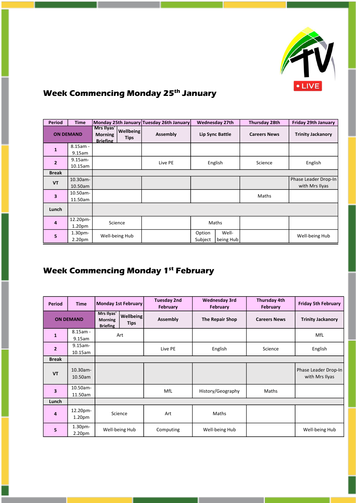

### **Week Commencing Monday 25th January**

| Period                  | <b>Time</b>                    |                                                 |                          | Monday 25th January Tuesday 26th January |                   | <b>Wednesday 27th</b> | <b>Thursday 28th</b> | <b>Friday 29th January</b>             |
|-------------------------|--------------------------------|-------------------------------------------------|--------------------------|------------------------------------------|-------------------|-----------------------|----------------------|----------------------------------------|
| <b>ON DEMAND</b>        |                                | Mrs Ilyas'<br><b>Morning</b><br><b>Briefing</b> | <b>Wellbeing</b><br>Tips | Assembly                                 |                   | Lip Sync Battle       | <b>Careers News</b>  | <b>Trinity Jackanory</b>               |
| $\mathbf{1}$            | $8.15$ am -<br>$9.15$ am       |                                                 |                          |                                          |                   |                       |                      |                                        |
| $\overline{2}$          | $9.15$ am-<br>10.15am          |                                                 |                          | Live PE                                  |                   | English               | Science              | English                                |
| <b>Break</b>            |                                |                                                 |                          |                                          |                   |                       |                      |                                        |
| <b>VT</b>               | 10.30am-<br>10.50am            |                                                 |                          |                                          |                   |                       |                      | Phase Leader Drop-In<br>with Mrs Ilyas |
| $\overline{\mathbf{3}}$ | 10.50am-<br>11.50am            |                                                 |                          |                                          |                   |                       | Maths                |                                        |
| Lunch                   |                                |                                                 |                          |                                          |                   |                       |                      |                                        |
| $\overline{a}$          | 12.20pm-<br>1.20 <sub>pm</sub> |                                                 | Science                  |                                          | Maths             |                       |                      |                                        |
| 5                       | 1.30pm-<br>2.20 <sub>pm</sub>  |                                                 | Well-being Hub           |                                          | Option<br>Subject | Well-<br>being Hub    |                      | Well-being Hub                         |

### **Week Commencing Monday 1st February**

| <b>Period</b>           | <b>Time</b>           | Monday 1st February                             |                                 | <b>Tuesday 2nd</b><br>February | <b>Wednesday 3rd</b><br>February | <b>Thursday 4th</b><br>February | <b>Friday 5th February</b>             |
|-------------------------|-----------------------|-------------------------------------------------|---------------------------------|--------------------------------|----------------------------------|---------------------------------|----------------------------------------|
| <b>ON DEMAND</b>        |                       | Mrs Ilyas'<br><b>Morning</b><br><b>Briefing</b> | <b>Wellbeing</b><br><b>Tips</b> | Assembly                       | The Repair Shop                  |                                 | <b>Trinity Jackanory</b>               |
| $\mathbf{1}$            | $8.15$ am -<br>9.15am | Art                                             |                                 |                                |                                  |                                 | MfL                                    |
| $\overline{2}$          | $9.15$ am-<br>10.15am |                                                 |                                 | Live PE                        | English                          | Science                         | English                                |
| <b>Break</b>            |                       |                                                 |                                 |                                |                                  |                                 |                                        |
| <b>VT</b>               | 10.30am-<br>10.50am   |                                                 |                                 |                                |                                  |                                 | Phase Leader Drop-In<br>with Mrs Ilyas |
| $\overline{\mathbf{3}}$ | 10.50am-<br>11.50am   |                                                 |                                 | MfL                            | History/Geography                | Maths                           |                                        |
| Lunch                   |                       |                                                 |                                 |                                |                                  |                                 |                                        |
| $\overline{a}$          | 12.20pm-<br>1.20pm    | Science                                         |                                 | Art                            | Maths                            |                                 |                                        |
| 5                       | 1.30pm-<br>2.20pm     | Well-being Hub                                  |                                 | Computing                      | Well-being Hub                   |                                 | Well-being Hub                         |